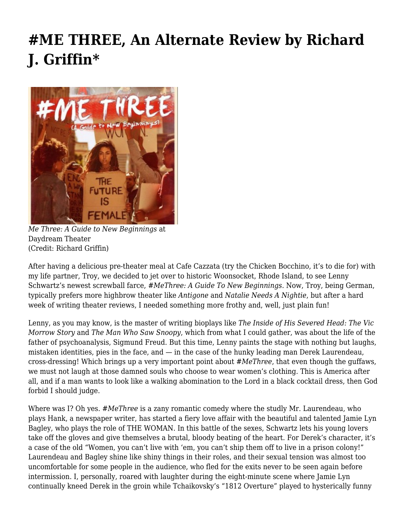## **[#ME THREE, An Alternate Review by Richard](https://motifri.com/me-three-an-alternate-review-by-richard-j-griffin/) [J. Griffin\\*](https://motifri.com/me-three-an-alternate-review-by-richard-j-griffin/)**



*Me Three: A Guide to New Beginnings* at Daydream Theater (Credit: Richard Griffin)

After having a delicious pre-theater meal at Cafe Cazzata (try the Chicken Bocchino, it's to die for) with my life partner, Troy, we decided to jet over to historic Woonsocket, Rhode Island, to see Lenny Schwartz's newest screwball farce, #*MeThree: A Guide To New Beginnings.* Now, Troy, being German, typically prefers more highbrow theater like *Antigone* and *Natalie Needs A Nightie*, but after a hard week of writing theater reviews, I needed something more frothy and, well, just plain fun!

Lenny, as you may know, is the master of writing bioplays like *The Inside of His Severed Head: The Vic Morrow Story* and *The Man Who Saw Snoopy*, which from what I could gather, was about the life of the father of psychoanalysis, Sigmund Freud. But this time, Lenny paints the stage with nothing but laughs, mistaken identities, pies in the face, and  $-$  in the case of the hunky leading man Derek Laurendeau, cross-dressing! Which brings up a very important point about #*MeThree*, that even though the guffaws, we must not laugh at those damned souls who choose to wear women's clothing. This is America after all, and if a man wants to look like a walking abomination to the Lord in a black cocktail dress, then God forbid I should judge.

Where was I? Oh yes. #*MeThree* is a zany romantic comedy where the studly Mr. Laurendeau, who plays Hank, a newspaper writer, has started a fiery love affair with the beautiful and talented Jamie Lyn Bagley, who plays the role of THE WOMAN. In this battle of the sexes, Schwartz lets his young lovers take off the gloves and give themselves a brutal, bloody beating of the heart. For Derek's character, it's a case of the old "Women, you can't live with 'em, you can't ship them off to live in a prison colony!" Laurendeau and Bagley shine like shiny things in their roles, and their sexual tension was almost too uncomfortable for some people in the audience, who fled for the exits never to be seen again before intermission. I, personally, roared with laughter during the eight-minute scene where Jamie Lyn continually kneed Derek in the groin while Tchaikovsky's "1812 Overture" played to hysterically funny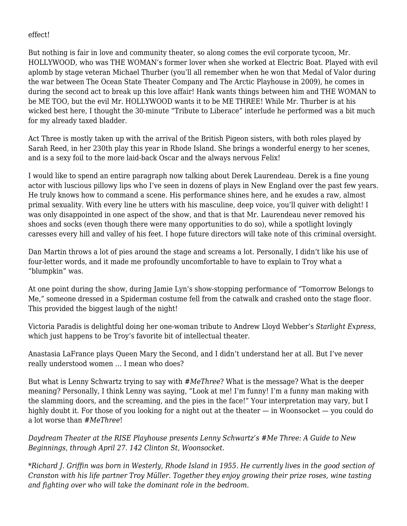## effect!

But nothing is fair in love and community theater, so along comes the evil corporate tycoon, Mr. HOLLYWOOD, who was THE WOMAN's former lover when she worked at Electric Boat. Played with evil aplomb by stage veteran Michael Thurber (you'll all remember when he won that Medal of Valor during the war between The Ocean State Theater Company and The Arctic Playhouse in 2009), he comes in during the second act to break up this love affair! Hank wants things between him and THE WOMAN to be ME TOO, but the evil Mr. HOLLYWOOD wants it to be ME THREE! While Mr. Thurber is at his wicked best here, I thought the 30-minute "Tribute to Liberace" interlude he performed was a bit much for my already taxed bladder.

Act Three is mostly taken up with the arrival of the British Pigeon sisters, with both roles played by Sarah Reed, in her 230th play this year in Rhode Island. She brings a wonderful energy to her scenes, and is a sexy foil to the more laid-back Oscar and the always nervous Felix!

I would like to spend an entire paragraph now talking about Derek Laurendeau. Derek is a fine young actor with luscious pillowy lips who I've seen in dozens of plays in New England over the past few years. He truly knows how to command a scene. His performance shines here, and he exudes a raw, almost primal sexuality. With every line he utters with his masculine, deep voice, you'll quiver with delight! I was only disappointed in one aspect of the show, and that is that Mr. Laurendeau never removed his shoes and socks (even though there were many opportunities to do so), while a spotlight lovingly caresses every hill and valley of his feet. I hope future directors will take note of this criminal oversight.

Dan Martin throws a lot of pies around the stage and screams a lot. Personally, I didn't like his use of four-letter words, and it made me profoundly uncomfortable to have to explain to Troy what a "blumpkin" was.

At one point during the show, during Jamie Lyn's show-stopping performance of "Tomorrow Belongs to Me," someone dressed in a Spiderman costume fell from the catwalk and crashed onto the stage floor. This provided the biggest laugh of the night!

Victoria Paradis is delightful doing her one-woman tribute to Andrew Lloyd Webber's *Starlight Express*, which just happens to be Troy's favorite bit of intellectual theater.

Anastasia LaFrance plays Queen Mary the Second, and I didn't understand her at all. But I've never really understood women … I mean who does?

But what is Lenny Schwartz trying to say with #*MeThree*? What is the message? What is the deeper meaning? Personally, I think Lenny was saying, "Look at me! I'm funny! I'm a funny man making with the slamming doors, and the screaming, and the pies in the face!" Your interpretation may vary, but I highly doubt it. For those of you looking for a night out at the theater — in Woonsocket — you could do a lot worse than #*MeThree*!

*Daydream Theater at the RISE Playhouse presents Lenny Schwartz's #Me Three: A Guide to New Beginnings, through April 27. 142 Clinton St, Woonsocket.*

*\*Richard J. Griffin was born in Westerly, Rhode Island in 1955. He currently lives in the good section of Cranston with his life partner Troy Müller. Together they enjoy growing their prize roses, wine tasting and fighting over who will take the dominant role in the bedroom.*